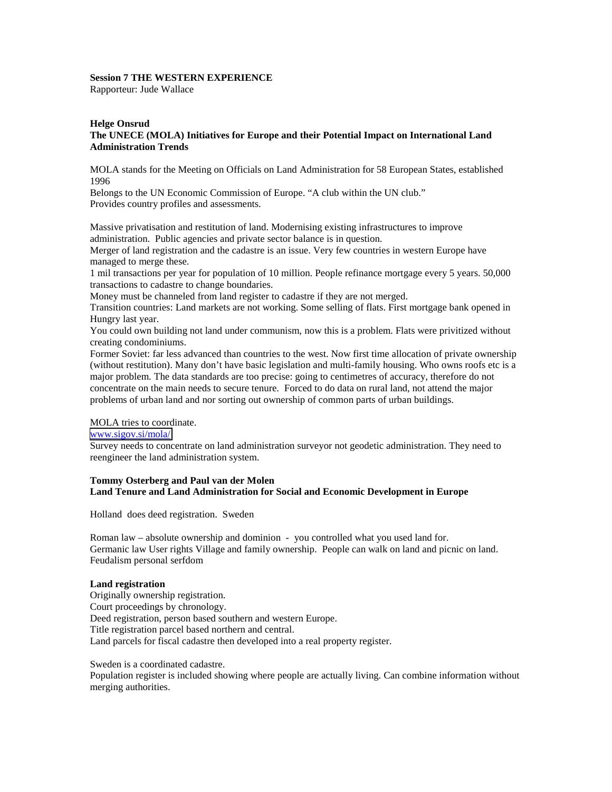# **Session 7 THE WESTERN EXPERIENCE**

Rapporteur: Jude Wallace

## **Helge Onsrud The UNECE (MOLA) Initiatives for Europe and their Potential Impact on International Land Administration Trends**

MOLA stands for the Meeting on Officials on Land Administration for 58 European States, established 1996

Belongs to the UN Economic Commission of Europe. "A club within the UN club." Provides country profiles and assessments.

Massive privatisation and restitution of land. Modernising existing infrastructures to improve administration. Public agencies and private sector balance is in question.

Merger of land registration and the cadastre is an issue. Very few countries in western Europe have managed to merge these.

1 mil transactions per year for population of 10 million. People refinance mortgage every 5 years. 50,000 transactions to cadastre to change boundaries.

Money must be channeled from land register to cadastre if they are not merged.

Transition countries: Land markets are not working. Some selling of flats. First mortgage bank opened in Hungry last year.

You could own building not land under communism, now this is a problem. Flats were privitized without creating condominiums.

Former Soviet: far less advanced than countries to the west. Now first time allocation of private ownership (without restitution). Many don't have basic legislation and multi-family housing. Who owns roofs etc is a major problem. The data standards are too precise: going to centimetres of accuracy, therefore do not concentrate on the main needs to secure tenure. Forced to do data on rural land, not attend the major problems of urban land and nor sorting out ownership of common parts of urban buildings.

# MOLA tries to coordinate.

# [www.sigov.si/mola/](http://www.sigov.si/mola/)

Survey needs to concentrate on land administration surveyor not geodetic administration. They need to reengineer the land administration system.

# **Tommy Osterberg and Paul van der Molen Land Tenure and Land Administration for Social and Economic Development in Europe**

Holland does deed registration. Sweden

Roman law – absolute ownership and dominion - you controlled what you used land for. Germanic law User rights Village and family ownership. People can walk on land and picnic on land. Feudalism personal serfdom

# **Land registration**

Originally ownership registration. Court proceedings by chronology. Deed registration, person based southern and western Europe. Title registration parcel based northern and central. Land parcels for fiscal cadastre then developed into a real property register.

Sweden is a coordinated cadastre.

Population register is included showing where people are actually living. Can combine information without merging authorities.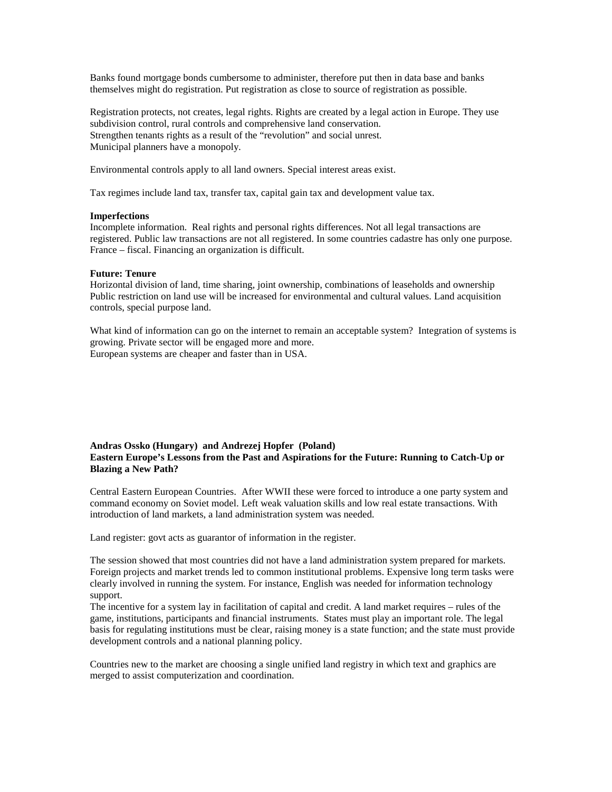Banks found mortgage bonds cumbersome to administer, therefore put then in data base and banks themselves might do registration. Put registration as close to source of registration as possible.

Registration protects, not creates, legal rights. Rights are created by a legal action in Europe. They use subdivision control, rural controls and comprehensive land conservation. Strengthen tenants rights as a result of the "revolution" and social unrest. Municipal planners have a monopoly.

Environmental controls apply to all land owners. Special interest areas exist.

Tax regimes include land tax, transfer tax, capital gain tax and development value tax.

#### **Imperfections**

Incomplete information. Real rights and personal rights differences. Not all legal transactions are registered. Public law transactions are not all registered. In some countries cadastre has only one purpose. France – fiscal. Financing an organization is difficult.

### **Future: Tenure**

Horizontal division of land, time sharing, joint ownership, combinations of leaseholds and ownership Public restriction on land use will be increased for environmental and cultural values. Land acquisition controls, special purpose land.

What kind of information can go on the internet to remain an acceptable system? Integration of systems is growing. Private sector will be engaged more and more. European systems are cheaper and faster than in USA.

## **Andras Ossko (Hungary) and Andrezej Hopfer (Poland) Eastern Europe's Lessons from the Past and Aspirations for the Future: Running to Catch-Up or Blazing a New Path?**

Central Eastern European Countries. After WWII these were forced to introduce a one party system and command economy on Soviet model. Left weak valuation skills and low real estate transactions. With introduction of land markets, a land administration system was needed.

Land register: govt acts as guarantor of information in the register.

The session showed that most countries did not have a land administration system prepared for markets. Foreign projects and market trends led to common institutional problems. Expensive long term tasks were clearly involved in running the system. For instance, English was needed for information technology support.

The incentive for a system lay in facilitation of capital and credit. A land market requires – rules of the game, institutions, participants and financial instruments. States must play an important role. The legal basis for regulating institutions must be clear, raising money is a state function; and the state must provide development controls and a national planning policy.

Countries new to the market are choosing a single unified land registry in which text and graphics are merged to assist computerization and coordination.